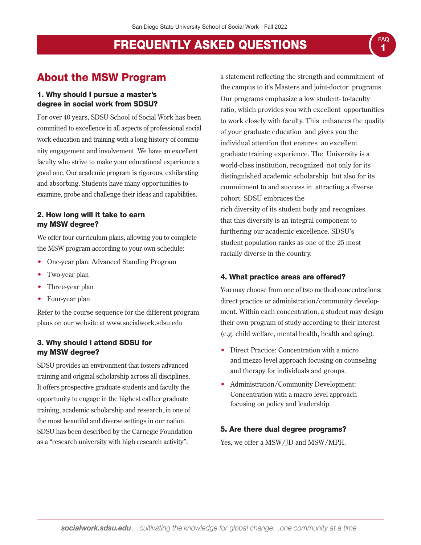## About the MSW Program

#### 1. Why should I pursue a master's degree in social work from SDSU?

For over 40 years, SDSU School of Social Work has been committed to excellence in all aspects of professional social work education and training with a long history of community engagement and involvement. We have an excellent faculty who strive to make your educational experience a good one. Our academic program is rigorous, exhilarating and absorbing. Students have many opportunities to examine, probe and challenge their ideas and capabilities.

#### 2. How long will it take to earn my MSW degree?

We offer four curriculum plans, allowing you to complete the MSW program according to your own schedule:

- One-year plan: Advanced Standing Program
- Two-year plan
- Three-year plan
- Four-year plan

Refer to the course sequence for the different program plans on our website at www.socialwork.sdsu.edu

#### 3. Why should I attend SDSU for my MSW degree?

SDSU provides an environment that fosters advanced training and original scholarship across all disciplines. It offers prospective graduate students and faculty the opportunity to engage in the highest caliber graduate training, academic scholarship and research, in one of the most beautiful and diverse settings in our nation. SDSU has been described by the Carnegie Foundation as a "research university with high research activity";

a statement reflecting the strength and commitment of the campus to it's Masters and joint-doctor programs. Our programs emphasize a low student- to-faculty ratio, which provides you with excellent opportunities to work closely with faculty. This enhances the quality of your graduate education and gives you the individual attention that ensures an excellent graduate training experience. The University is a world-class institution, recognized not only for its distinguished academic scholarship but also for its commitment to and success in attracting a diverse cohort. SDSU embraces the rich diversity of its student body and recognizes that this diversity is an integral component to furthering our academic excellence. SDSU's student population ranks as one of the 25 most racially diverse in the country.

#### 4. What practice areas are offered?

You may choose from one of two method concentrations: direct practice or administration/community development. Within each concentration, a student may design their own program of study according to their interest (e.g. child welfare, mental health, health and aging).

- Direct Practice: Concentration with a micro and mezzo level approach focusing on counseling and therapy for individuals and groups.
- Administration/Community Development: Concentration with a macro level approach focusing on policy and leadership.

#### 5. Are there dual degree programs?

Yes, we offer a MSW/JD and MSW/MPH.

FAQ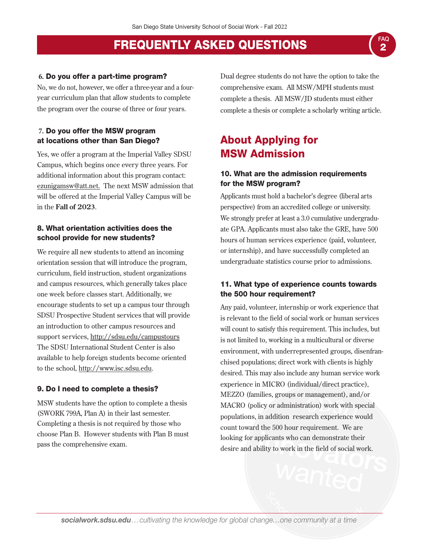#### **6.** Do you offer a part-time program?

No, we do not, however, we offer a three-year and a fouryear curriculum plan that allow students to complete the program over the course of three or four years.

#### **7.** Do you offer the MSW program at locations other than San Diego?

Yes, we offer a program at the Imperial Valley SDSU Campus, which begins once every three years. For additional information about this program contact: ezunigamsw@att.net. The next MSW admission that will be offered at the Imperial Valley Campus will be in the **Fall of 2023**.

#### 8. What orientation activities does the school provide for new students?

We require all new students to attend an incoming orientation session that will introduce the program, curriculum, field instruction, student organizations and campus resources, which generally takes place one week before classes start. Additionally, we encourage students to set up a campus tour through SDSU Prospective Student services that will provide an introduction to other campus resources and support services, http://sdsu.edu/campustours The SDSU International Student Center is also available to help foreign students become oriented to the school, http://www.isc.sdsu.edu.

#### 9. Do I need to complete a thesis?

MSW students have the option to complete a thesis (SWORK 799A, Plan A) in their last semester. Completing a thesis is not required by those who choose Plan B. However students with Plan B must pass the comprehensive exam.

Dual degree students do not have the option to take the comprehensive exam. All MSW/MPH students must complete a thesis. All MSW/JD students must either complete a thesis or complete a scholarly writing article.

FAQ

## About Applying for MSW Admission

#### 10. What are the admission requirements for the MSW program?

Applicants must hold a bachelor's degree (liberal arts perspective) from an accredited college or university. We strongly prefer at least a 3.0 cumulative undergraduate GPA. Applicants must also take the GRE, have 500 hours of human services experience (paid, volunteer, or internship), and have successfully completed an undergraduate statistics course prior to admissions.

#### 11. What type of experience counts towards the 500 hour requirement?

Any paid, volunteer, internship or work experience that is relevant to the field of social work or human services will count to satisfy this requirement. This includes, but is not limited to, working in a multicultural or diverse environment, with underrepresented groups, disenfranchised populations; direct work with clients is highly desired. This may also include any human service work experience in MICRO (individual/direct practice), MEZZO (families, groups or management), and/or MACRO (policy or administration) work with special populations, in addition research experience would count toward the 500 hour requirement. We are looking for applicants who can demonstrate their desire and ability to work in the field of social work.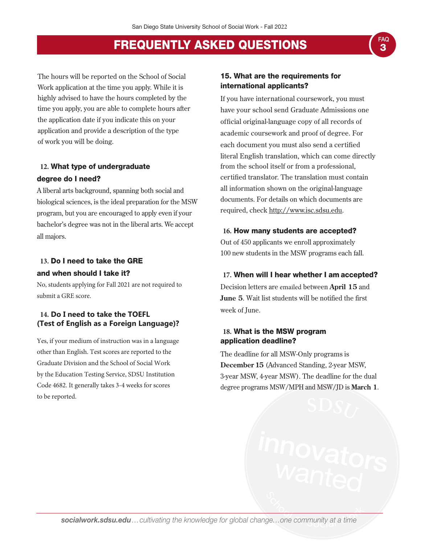The hours will be reported on the School of Social Work application at the time you apply. While it is highly advised to have the hours completed by the time you apply, you are able to complete hours after the application date if you indicate this on your application and provide a description of the type of work you will be doing.

## **12.** What type of undergraduate degree do I need?

A liberal arts background, spanning both social and biological sciences, is the ideal preparation for the MSW program, but you are encouraged to apply even if your bachelor's degree was not in the liberal arts. We accept all majors.

### **13.** Do I need to take the GRE and when should I take it?

No, students applying for Fall 2021 are not required to submit a GRE score.

#### **14. Do I need to take the TOEFL (Test of English as a Foreign Language)?**

Yes, if your medium of instruction was in a language other than English. Test scores are reported to the Graduate Division and the School of Social Work by the Education Testing Service, SDSU Institution Code 4682. It generally takes 3-4 weeks for scores to be reported.

#### 15. What are the requirements for international applicants?

If you have international coursework, you must have your school send Graduate Admissions one official original-language copy of all records of academic coursework and proof of degree. For each document you must also send a certified literal English translation, which can come directly from the school itself or from a professional, certified translator. The translation must contain all information shown on the original-language documents. For details on which documents are required, check http://www.isc.sdsu.edu.

#### **16.** How many students are accepted?

Out of 450 applicants we enroll approximately 100 new students in the MSW programs each fall.

#### **17.** When will I hear whether I am accepted?

Decision letters are emailed between **April 15** and **June 5**. Wait list students will be notified the first week of June.

#### **18.** What is the MSW program application deadline?

The deadline for all MSW-Only programs is **December 15** (Advanced Standing, 2-year MSW, 3-year MSW, 4-year MSW). The deadline for the dual degree programs MSW/MPH and MSW/JD is **March 1**.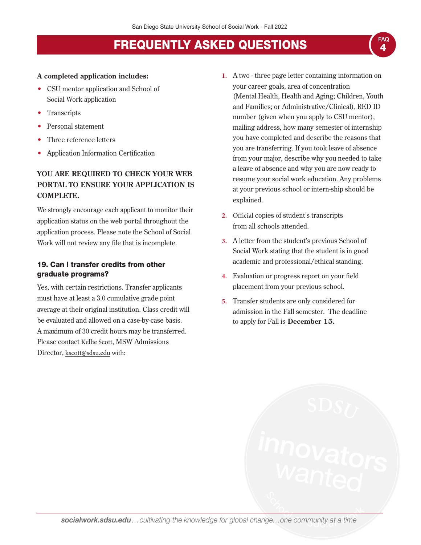#### **A completed application includes:**

- CSU mentor application and School of Social Work application
- **Transcripts**
- Personal statement
- Three reference letters
- Application Information Certification

### **YOU ARE REQUIRED TO CHECK YOUR WEB PORTAL TO ENSURE YOUR APPLICATION IS COMPLETE.**

We strongly encourage each applicant to monitor their application status on the web portal throughout the application process. Please note the School of Social Work will not review any file that is incomplete.

#### 19. Can I transfer credits from other graduate programs?

Yes, with certain restrictions. Transfer applicants must have at least a 3.0 cumulative grade point average at their original institution. Class credit will be evaluated and allowed on a case-by-case basis. A maximum of 30 credit hours may be transferred. Please contact Kellie Scott, MSW Admissions Director, kscott@sdsu.edu with:

**1.** A two - three page letter containing information on your career goals, area of concentration (Mental Health, Health and Aging; Children, Youth and Families; or Administrative/Clinical), RED ID number (given when you apply to CSU mentor), mailing address, how many semester of internship you have completed and describe the reasons that you are transferring. If you took leave of absence from your major, describe why you needed to take a leave of absence and why you are now ready to resume your social work education. Any problems at your previous school or intern-ship should be explained.

4 FAQ

- **2.** Official copies of student's transcripts from all schools attended.
- **3.** A letter from the student's previous School of Social Work stating that the student is in good academic and professional/ethical standing.
- **4.** Evaluation or progress report on your field placement from your previous school.
- **5.** Transfer students are only considered for admission in the Fall semester. The deadline to apply for Fall is **December 15.**

*socialwork.sdsu.edu…cultivating the knowledge for global change…one community at a time*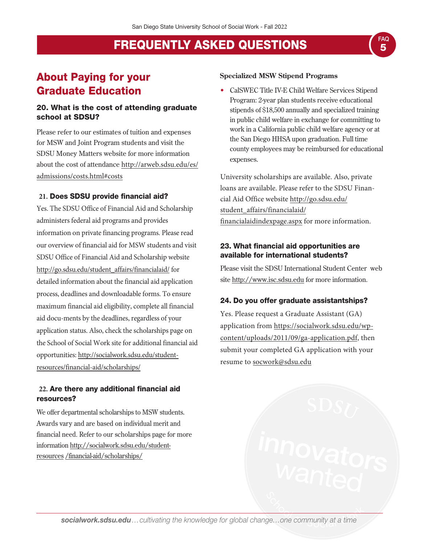## About Paying for your Graduate Education

### 20. What is the cost of attending graduate school at SDSU?

Please refer to our estimates of tuition and expenses for MSW and Joint Program students and visit the SDSU Money Matters website for more information about the cost of attendance http://arweb.sdsu.edu/es/ [admissions/costs.html#costs](http://arweb.sdsu.edu/es/admissions/costs.html#costs)

## **21.** Does SDSU provide financial aid?

Yes. The SDSU Office of Financial Aid and Scholarship administers federal aid programs and provides information on private financing programs. Please read our overview of financial aid for MSW students and visit SDSU Office of Financial Aid and Scholarship website [http://go.sdsu.edu/student\\_affairs/financialaid/](http://go.sdsu.edu/student_affairs/financialaid/) for detailed information about the financial aid application process, deadlines and downloadable forms. To ensure maximum financial aid eligibility, complete all financial aid docu-ments by the deadlines, regardless of your application status. Also, check the scholarships page on the School of Social Work site for additional financial aid [opportunities: http://socialwork.sdsu.edu/student](http://socialwork.sdsu.edu/student-resources/financial-aid/scholarships/)resources/financial-aid/scholarships/

### **22.** Are there any additional financial aid resources?

We offer departmental scholarships to MSW students. Awards vary and are based on individual merit and financial need. Refer to our scholarships page for more [information http://socialwork.sdsu.edu/student](http://socialwork.sdsu.edu/student-resources /financial-aid/scholarships/)resources /financial-aid/scholarships/

### **Specialized MSW Stipend Programs**

• CalSWEC Title IV-E Child Welfare Services Stipend Program: 2-year plan students receive educational stipends of \$18,500 annually and specialized training in public child welfare in exchange for committing to work in a California public child welfare agency or at the San Diego HHSA upon graduation. Full time county employees may be reimbursed for educational expenses.

University scholarships are available. Also, private loans are available. Please refer to the SDSU Finan[cial Aid Office website http://go.sdsu.edu/](http://go.sdsu.edu/student_affairs/financialaid/financialaidindexpage.aspx) student\_affairs/financialaid/ financialaidindexpage.aspx for more information.

### 23. What financial aid opportunities are available for international students?

Please visit the SDSU International Student Center web site http://www.isc.sdsu.edu for more information.

### 24. Do you offer graduate assistantships?

Yes. Please request a Graduate Assistant (GA) [application from https://socialwork.sdsu.edu/wp](https://socialwork.sdsu.edu/wp-content/uploads/2011/09/ga-application.pdf)content/uploads/2011/09/ga-application.pdf, then submit your completed GA application with your resume to socwork@sdsu.edu

*socialwork.sdsu.edu…cultivating the knowledge for global change…one community at a time*